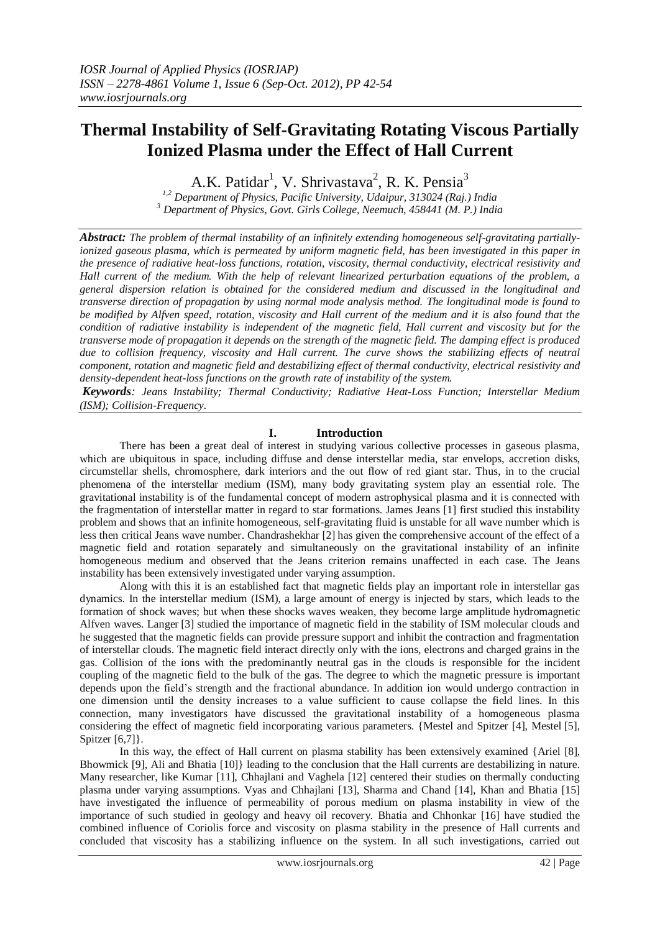# **Thermal Instability of Self-Gravitating Rotating Viscous Partially Ionized Plasma under the Effect of Hall Current**

A.K. Patidar<sup>1</sup>, V. Shrivastava<sup>2</sup>, R. K. Pensia<sup>3</sup>

*1,2 Department of Physics, Pacific University, Udaipur, 313024 (Raj.) India <sup>3</sup> Department of Physics, Govt. Girls College, Neemuch, 458441 (M. P.) India*

*Abstract: The problem of thermal instability of an infinitely extending homogeneous self-gravitating partiallyionized gaseous plasma, which is permeated by uniform magnetic field, has been investigated in this paper in the presence of radiative heat-loss functions, rotation, viscosity, thermal conductivity, electrical resistivity and Hall current of the medium. With the help of relevant linearized perturbation equations of the problem, a general dispersion relation is obtained for the considered medium and discussed in the longitudinal and transverse direction of propagation by using normal mode analysis method. The longitudinal mode is found to be modified by Alfven speed, rotation, viscosity and Hall current of the medium and it is also found that the condition of radiative instability is independent of the magnetic field, Hall current and viscosity but for the transverse mode of propagation it depends on the strength of the magnetic field. The damping effect is produced due to collision frequency, viscosity and Hall current. The curve shows the stabilizing effects of neutral component, rotation and magnetic field and destabilizing effect of thermal conductivity, electrical resistivity and density-dependent heat-loss functions on the growth rate of instability of the system.*

*Keywords: Jeans Instability; Thermal Conductivity; Radiative Heat-Loss Function; Interstellar Medium (ISM); Collision-Frequency.* 

## **I. Introduction**

There has been a great deal of interest in studying various collective processes in gaseous plasma, which are ubiquitous in space, including diffuse and dense interstellar media, star envelops, accretion disks, circumstellar shells, chromosphere, dark interiors and the out flow of red giant star. Thus, in to the crucial phenomena of the interstellar medium (ISM), many body gravitating system play an essential role. The gravitational instability is of the fundamental concept of modern astrophysical plasma and it is connected with the fragmentation of interstellar matter in regard to star formations. James Jeans [1] first studied this instability problem and shows that an infinite homogeneous, self-gravitating fluid is unstable for all wave number which is less then critical Jeans wave number. Chandrashekhar [2] has given the comprehensive account of the effect of a magnetic field and rotation separately and simultaneously on the gravitational instability of an infinite homogeneous medium and observed that the Jeans criterion remains unaffected in each case. The Jeans instability has been extensively investigated under varying assumption.

Along with this it is an established fact that magnetic fields play an important role in interstellar gas dynamics. In the interstellar medium (ISM), a large amount of energy is injected by stars, which leads to the formation of shock waves; but when these shocks waves weaken, they become large amplitude hydromagnetic Alfven waves. Langer [3] studied the importance of magnetic field in the stability of ISM molecular clouds and he suggested that the magnetic fields can provide pressure support and inhibit the contraction and fragmentation of interstellar clouds. The magnetic field interact directly only with the ions, electrons and charged grains in the gas. Collision of the ions with the predominantly neutral gas in the clouds is responsible for the incident coupling of the magnetic field to the bulk of the gas. The degree to which the magnetic pressure is important depends upon the field"s strength and the fractional abundance. In addition ion would undergo contraction in one dimension until the density increases to a value sufficient to cause collapse the field lines. In this connection, many investigators have discussed the gravitational instability of a homogeneous plasma considering the effect of magnetic field incorporating various parameters. {Mestel and Spitzer [4], Mestel [5], Spitzer [6,7]}.

In this way, the effect of Hall current on plasma stability has been extensively examined {Ariel [8], Bhowmick [9], Ali and Bhatia [10]} leading to the conclusion that the Hall currents are destabilizing in nature. Many researcher, like Kumar [11], Chhajlani and Vaghela [12] centered their studies on thermally conducting plasma under varying assumptions. Vyas and Chhajlani [13], Sharma and Chand [14], Khan and Bhatia [15] have investigated the influence of permeability of porous medium on plasma instability in view of the importance of such studied in geology and heavy oil recovery. Bhatia and Chhonkar [16] have studied the combined influence of Coriolis force and viscosity on plasma stability in the presence of Hall currents and concluded that viscosity has a stabilizing influence on the system. In all such investigations, carried out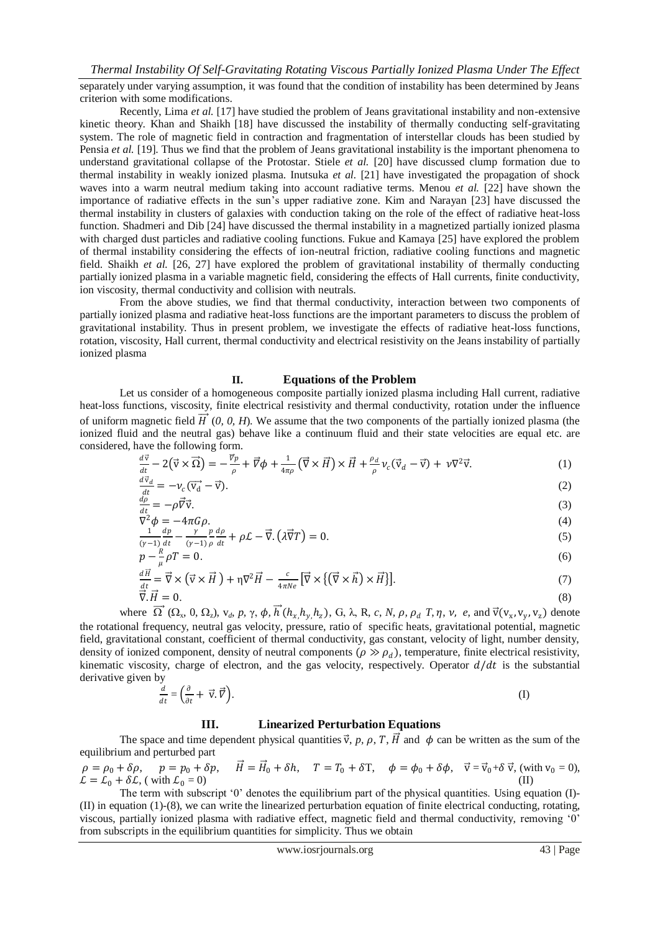separately under varying assumption, it was found that the condition of instability has been determined by Jeans criterion with some modifications.

Recently, Lima *et al.* [17] have studied the problem of Jeans gravitational instability and non-extensive kinetic theory. Khan and Shaikh [18] have discussed the instability of thermally conducting self-gravitating system. The role of magnetic field in contraction and fragmentation of interstellar clouds has been studied by Pensia *et al.* [19]. Thus we find that the problem of Jeans gravitational instability is the important phenomena to understand gravitational collapse of the Protostar. Stiele *et al.* [20] have discussed clump formation due to thermal instability in weakly ionized plasma. Inutsuka *et al.* [21] have investigated the propagation of shock waves into a warm neutral medium taking into account radiative terms. Menou *et al.* [22] have shown the importance of radiative effects in the sun"s upper radiative zone. Kim and Narayan [23] have discussed the thermal instability in clusters of galaxies with conduction taking on the role of the effect of radiative heat-loss function. Shadmeri and Dib [24] have discussed the thermal instability in a magnetized partially ionized plasma with charged dust particles and radiative cooling functions. Fukue and Kamaya [25] have explored the problem of thermal instability considering the effects of ion-neutral friction, radiative cooling functions and magnetic field. Shaikh *et al.* [26, 27] have explored the problem of gravitational instability of thermally conducting partially ionized plasma in a variable magnetic field, considering the effects of Hall currents, finite conductivity, ion viscosity, thermal conductivity and collision with neutrals.

From the above studies, we find that thermal conductivity, interaction between two components of partially ionized plasma and radiative heat-loss functions are the important parameters to discuss the problem of gravitational instability. Thus in present problem, we investigate the effects of radiative heat-loss functions, rotation, viscosity, Hall current, thermal conductivity and electrical resistivity on the Jeans instability of partially ionized plasma

## **II. Equations of the Problem**

Let us consider of a homogeneous composite partially ionized plasma including Hall current, radiative heat-loss functions, viscosity, finite electrical resistivity and thermal conductivity, rotation under the influence of uniform magnetic field  $\overrightarrow{H}$  (0, 0, H). We assume that the two components of the partially ionized plasma (the ionized fluid and the neutral gas) behave like a continuum fluid and their state velocities are equal etc. are considered, have the following form.

$$
\frac{d\vec{v}}{dt} - 2(\vec{v} \times \vec{\Omega}) = -\frac{\vec{v}_p}{\rho} + \vec{v}\phi + \frac{1}{4\pi\rho}(\vec{\nabla}\times\vec{H}) \times \vec{H} + \frac{\rho_d}{\rho}v_c(\vec{v}_d - \vec{v}) + \nu\nabla^2\vec{v}.
$$
\n(1)

$$
\frac{d\vec{v}_d}{dt} = -\nu_c (\vec{v}_d - \vec{v}).\tag{2}
$$

$$
\frac{d\rho}{dt} = -\rho \vec{\nabla} \vec{v}.
$$
\n(3)\n
$$
\nabla^2 \phi = -4\pi G \rho.
$$
\n(4)

$$
\frac{1}{(\gamma-1)}\frac{dp}{dt} - \frac{\gamma}{(\gamma-1)}\frac{p}{\rho}\frac{d\rho}{dt} + \rho\mathcal{L} - \vec{\nabla}\left(\lambda\vec{\nabla}T\right) = 0.
$$
\n(5)

$$
p - \frac{R}{\mu} \rho T = 0. \tag{6}
$$

$$
\frac{d\vec{H}}{dt} = \vec{\nabla} \times (\vec{v} \times \vec{H}) + \eta \nabla^2 \vec{H} - \frac{c}{4\pi Ne} [\vec{\nabla} \times \{ (\vec{\nabla} \times \vec{h}) \times \vec{H} \}].
$$
\n(7)  
\n
$$
\vec{\nabla} \cdot \vec{H} = 0.
$$

where 
$$
\overrightarrow{\Omega}(\Omega_x, 0, \Omega_z)
$$
,  $v_d$ ,  $p$ ,  $\gamma$ ,  $\phi$ ,  $\overrightarrow{h}(h_x, h_y, h_z)$ , G,  $\lambda$ , R, c, N,  $\rho$ ,  $\rho_d$  T,  $\eta$ ,  $v$ ,  $e$ , and  $\overrightarrow{v}(v_x, v_y, v_z)$  denote  
the rotational frequency, neutral gas velocity, pressure, ratio of specific heats, gravitational potential, magnetic  
field, gravitational constant, coefficient of thermal conductivity, gas constant, velocity of light, number density,  
density of ionized component, density of neutral components ( $\rho \gg \rho_d$ ), temperature, finite electrical resistivity,  
kinematic viscosity, charge of electron, and the gas velocity, respectively. Operator  $d/dt$  is the substantial  
derivative given by

$$
\frac{d}{dt} = \left(\frac{\partial}{\partial t} + \vec{v} \cdot \vec{v}\right). \tag{I}
$$

## **III. Linearized Perturbation Equations**

The space and time dependent physical quantities  $\vec{v}$ , p, p, T,  $\vec{H}$  and  $\phi$  can be written as the sum of the equilibrium and perturbed part

 $\rho = \rho_0 + \delta \rho, \quad p = p_0 + \delta p,$  $\vec{H} = \vec{H}_0 + \delta h$ ,  $T = T_0 + \delta T$ ,  $\phi = \phi_0 + \delta \phi$ ,  $\vec{v} = \vec{v}_0 + \delta \vec{v}$ , (with  $v_0 = 0$ ),  $\mathcal{L} = \mathcal{L}_0 + \delta \mathcal{L}$ , (with  $\mathcal{L}_0 = 0$ )

The term with subscript '0' denotes the equilibrium part of the physical quantities. Using equation (I)-(II) in equation (1)-(8), we can write the linearized perturbation equation of finite electrical conducting, rotating, viscous, partially ionized plasma with radiative effect, magnetic field and thermal conductivity, removing "0" from subscripts in the equilibrium quantities for simplicity. Thus we obtain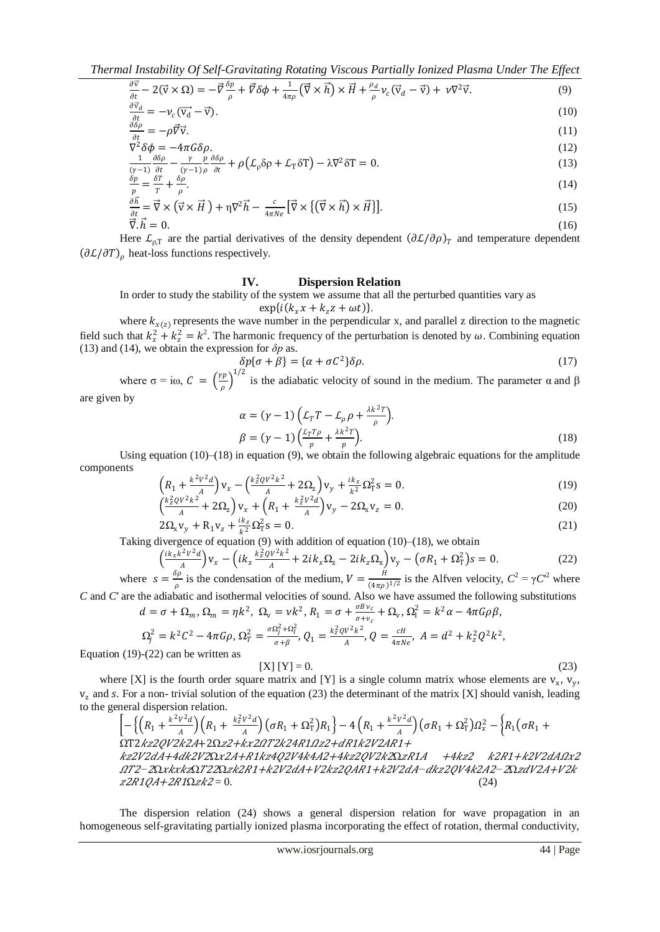*Thermal Instability Of Self-Gravitating Rotating Viscous Partially Ionized Plasma Under The Effect* 

$$
\frac{\partial \vec{v}}{\partial t} - 2(\vec{v} \times \Omega) = -\vec{v}\frac{\partial p}{\rho} + \vec{v}\delta\phi + \frac{1}{4\pi\rho}(\vec{\nabla}\times\vec{h}) \times \vec{H} + \frac{\rho_d}{\rho}v_c(\vec{v}_d - \vec{v}) + v\nabla^2\vec{v}.
$$
\n(9)

$$
\frac{\partial v_d}{\partial t} = -\nu_c (\vec{v_d} - \vec{v}).\tag{10}
$$

$$
\frac{\partial \delta \rho}{\partial t} = -\rho \vec{\nabla} \vec{\mathbf{v}}.\tag{11}
$$
\n
$$
\nabla^2 \delta \phi = -4\pi G \delta \rho.
$$
\n
$$
(12)
$$

$$
\nabla^2 \delta \phi = -4\pi G \delta \rho.
$$
\n
$$
\frac{1}{(\gamma - 1)} \frac{\partial \delta \rho}{\partial t} - \frac{\gamma}{(\gamma - 1)} \frac{p}{\rho} \frac{\partial \delta \rho}{\partial t} + \rho \left( \mathcal{L}_{\rho} \delta \rho + \mathcal{L}_{\tau} \delta T \right) - \lambda \nabla^2 \delta T = 0.
$$
\n(12)

$$
\frac{\delta p}{p} = \frac{\delta T}{T} + \frac{\delta \rho}{\rho}.
$$
\n(14)

$$
\frac{\partial \vec{h}}{\partial t} = \vec{\nabla} \times (\vec{v} \times \vec{H}) + \eta \nabla^2 \vec{h} - \frac{c}{4\pi Ne} [\vec{\nabla} \times \{ (\vec{\nabla} \times \vec{h}) \times \vec{H} \}].
$$
\n(15)  
\n
$$
\vec{\nabla} \cdot \vec{h} = 0.
$$

Here  $\mathcal{L}_{\rho,T}$  are the partial derivatives of the density dependent  $(\partial \mathcal{L}/\partial \rho)_T$  and temperature dependent  $(\partial \mathcal{L}/\partial T)$ <sub>o</sub> heat-loss functions respectively.

#### **IV. Dispersion Relation**

In order to study the stability of the system we assume that all the perturbed quantities vary as

$$
\exp\{i(k_x x + k_z z + \omega t)\}.
$$

where  $k_{x(z)}$  represents the wave number in the perpendicular x, and parallel z direction to the magnetic field such that  $k_x^2 + k_z^2 = k^2$ . The harmonic frequency of the perturbation is denoted by  $\omega$ . Combining equation (13) and (14), we obtain the expression for  $\delta p$  as.

$$
\delta p\{\sigma + \beta\} = \{\alpha + \sigma C^2\}\delta \rho. \tag{17}
$$

where  $\sigma = i\omega$ ,  $C = \left(\frac{\gamma p}{\gamma}\right)$  $\left(\frac{p}{\rho}\right)^{1/2}$  is the adiabatic velocity of sound in the medium. The parameter  $\alpha$  and  $\beta$ 

are given by

$$
\alpha = (\gamma - 1) \left( \mathcal{L}_T T - \mathcal{L}_\rho \rho + \frac{\lambda k^2 T}{\rho} \right) .
$$
  

$$
\beta = (\gamma - 1) \left( \frac{\mathcal{L}_T T \rho}{p} + \frac{\lambda k^2 T}{p} \right) .
$$
 (18)

Using equation (10)–(18) in equation (9), we obtain the following algebraic equations for the amplitude components

$$
\left(R_1 + \frac{k^2 V^2 d}{A}\right) V_x - \left(\frac{k_Z^2 Q V^2 k^2}{A} + 2\Omega_z\right) V_y + \frac{ik_x}{k^2} \Omega_T^2 s = 0.
$$
\n(19)

$$
\left(\frac{\kappa_z v}{A} + 2\Omega_z\right) v_x + \left(R_1 + \frac{\kappa_z v}{A}\right) v_y - 2\Omega_x v_z = 0.
$$
\n(20)\n
$$
2\Omega_x v_y + R_1 v_z + \frac{i k_z}{k^2} \Omega_T^2 s = 0.
$$
\n(21)

Taking divergence of equation (9) with addition of equation (10)–(18), we obtain

$$
\left(\frac{ik_{x}k^{2}v^{2}d}{A}\right)v_{x} - \left(ik_{x}\frac{k_{z}^{2}ov^{2}k^{2}}{A} + 2ik_{x}\Omega_{z} - 2ik_{z}\Omega_{x}\right)v_{y} - \left(\sigma R_{1} + \Omega_{T}^{2}\right)s = 0.
$$
 (22)

where  $s = \frac{\delta \rho}{g}$  $\frac{\delta \rho}{\rho}$  is the condensation of the medium,  $V = \frac{H}{(4\pi \rho)}$  $\frac{H}{(4\pi\rho)^{1/2}}$  is the Alfven velocity,  $C^2 = \gamma C^2$  where *C* and *C*′ are the adiabatic and isothermal velocities of sound. Also we have assumed the following substitutions

$$
d = \sigma + \Omega_m, \Omega_m = \eta k^2, \ \Omega_v = \nu k^2, R_1 = \sigma + \frac{\sigma B v_c}{\sigma + v_c} + \Omega_v, \ \Omega_1^2 = k^2 \alpha - 4\pi G \rho \beta,
$$
  

$$
\Omega_j^2 = k^2 C^2 - 4\pi G \rho, \ \Omega_T^2 = \frac{\sigma \Omega_j^2 + \Omega_I^2}{\sigma + \beta}, \ Q_1 = \frac{k_z^2 Q V^2 k^2}{A}, \ Q = \frac{cH}{4\pi N \epsilon}, \ A = d^2 + k_z^2 Q^2 k^2,
$$

Equation (19)-(22) can be written as

$$
[X] [Y] = 0.
$$
 (23)

where [X] is the fourth order square matrix and [Y] is a single column matrix whose elements are  $v_x$ ,  $v_y$ ,  $v<sub>z</sub>$  and s. For a non-trivial solution of the equation (23) the determinant of the matrix [X] should vanish, leading to the general dispersion relation.

 − <sup>1</sup> + 2 2 <sup>1</sup> + 2 2 <sup>1</sup> + Ω<sup>T</sup> 2 <sup>1</sup> − 4 <sup>1</sup> + 2 2 <sup>1</sup> + Ω<sup>T</sup> 2 <sup>2</sup> − <sup>1</sup> <sup>1</sup> + ΩT2222+2Ω2+222412+1221+ 22+422Ω2+142442+4222Ω1 +4<sup>2</sup> 21+22<sup>2</sup> 2*−*2ΩΩ22Ω21+22+221+22*−*2422*−*2Ω2+2 21+21Ω<sup>2</sup> = 0. (24)

The dispersion relation (24) shows a general dispersion relation for wave propagation in an homogeneous self-gravitating partially ionized plasma incorporating the effect of rotation, thermal conductivity,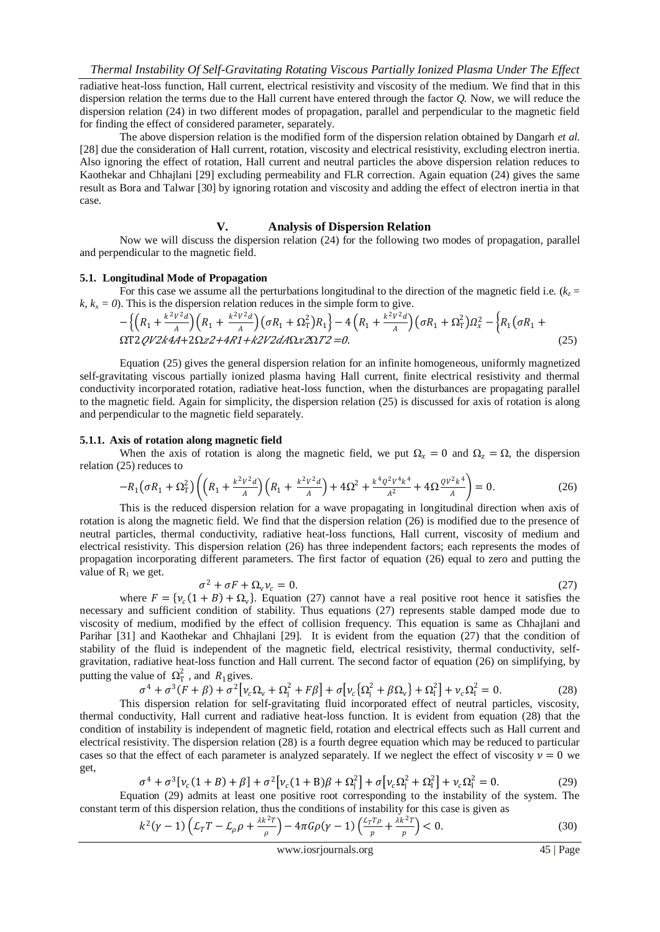radiative heat-loss function, Hall current, electrical resistivity and viscosity of the medium. We find that in this dispersion relation the terms due to the Hall current have entered through the factor *Q.* Now, we will reduce the dispersion relation (24) in two different modes of propagation, parallel and perpendicular to the magnetic field for finding the effect of considered parameter, separately.

The above dispersion relation is the modified form of the dispersion relation obtained by Dangarh *et al.* [28] due the consideration of Hall current, rotation, viscosity and electrical resistivity, excluding electron inertia. Also ignoring the effect of rotation, Hall current and neutral particles the above dispersion relation reduces to Kaothekar and Chhajlani [29] excluding permeability and FLR correction. Again equation (24) gives the same result as Bora and Talwar [30] by ignoring rotation and viscosity and adding the effect of electron inertia in that case.

#### **V. Analysis of Dispersion Relation**

Now we will discuss the dispersion relation (24) for the following two modes of propagation, parallel and perpendicular to the magnetic field.

## **5.1. Longitudinal Mode of Propagation**

For this case we assume all the perturbations longitudinal to the direction of the magnetic field i.e.  $(k_z =$  $k, k_x = 0$ ). This is the dispersion relation reduces in the simple form to give.

− <sup>1</sup> + 2 2 <sup>1</sup> + 2 2 <sup>1</sup> + Ω<sup>T</sup> 2 <sup>1</sup> − 4 <sup>1</sup> + 2 2 <sup>1</sup> + Ω<sup>T</sup> 2 <sup>2</sup> − <sup>1</sup> <sup>1</sup> + ΩT224+2Ω2+41+22Ω<sup>2</sup>Ω<sup>2</sup> =0. (25)

Equation (25) gives the general dispersion relation for an infinite homogeneous, uniformly magnetized self-gravitating viscous partially ionized plasma having Hall current, finite electrical resistivity and thermal conductivity incorporated rotation, radiative heat-loss function, when the disturbances are propagating parallel to the magnetic field. Again for simplicity, the dispersion relation (25) is discussed for axis of rotation is along and perpendicular to the magnetic field separately.

#### **5.1.1. Axis of rotation along magnetic field**

When the axis of rotation is along the magnetic field, we put  $\Omega_x = 0$  and  $\Omega_z = \Omega$ , the dispersion relation (25) reduces to

$$
-R_1\left(\sigma R_1 + \Omega_{\rm T}^2\right)\left(\left(R_1 + \frac{k^2 V^2 d}{A}\right)\left(R_1 + \frac{k^2 V^2 d}{A}\right) + 4\Omega^2 + \frac{k^4 Q^2 V^4 k^4}{A^2} + 4\Omega \frac{Q V^2 k^4}{A}\right) = 0. \tag{26}
$$

This is the reduced dispersion relation for a wave propagating in longitudinal direction when axis of rotation is along the magnetic field. We find that the dispersion relation (26) is modified due to the presence of neutral particles, thermal conductivity, radiative heat-loss functions, Hall current, viscosity of medium and electrical resistivity. This dispersion relation (26) has three independent factors; each represents the modes of propagation incorporating different parameters. The first factor of equation (26) equal to zero and putting the value of  $R_1$  we get.

$$
\sigma^2 + \sigma F + \Omega_v \nu_c = 0. \tag{27}
$$

where  $F = \{v_c(1+B) + \Omega_v\}$ . Equation (27) cannot have a real positive root hence it satisfies the necessary and sufficient condition of stability. Thus equations (27) represents stable damped mode due to viscosity of medium, modified by the effect of collision frequency. This equation is same as Chhajlani and Parihar [31] and Kaothekar and Chhajlani [29]. It is evident from the equation (27) that the condition of stability of the fluid is independent of the magnetic field, electrical resistivity, thermal conductivity, selfgravitation, radiative heat-loss function and Hall current. The second factor of equation (26) on simplifying, by putting the value of  $\Omega_T^2$ , and  $R_1$  gives.

$$
\sigma^4 + \sigma^3 (F + \beta) + \sigma^2 [\nu_c \Omega_v + \Omega_j^2 + F\beta] + \sigma [\nu_c {\Omega_j^2 + \beta \Omega_v}] + \Omega_1^2 + \nu_c \Omega_1^2 = 0.
$$
 (28)

 This dispersion relation for self-gravitating fluid incorporated effect of neutral particles, viscosity, thermal conductivity, Hall current and radiative heat-loss function. It is evident from equation (28) that the condition of instability is independent of magnetic field, rotation and electrical effects such as Hall current and electrical resistivity. The dispersion relation (28) is a fourth degree equation which may be reduced to particular cases so that the effect of each parameter is analyzed separately. If we neglect the effect of viscosity  $v = 0$  we get,

$$
\sigma^4 + \sigma^3[\nu_c(1+B) + \beta] + \sigma^2[\nu_c(1+B)\beta + \Omega_1^2] + \sigma[\nu_c\Omega_1^2 + \Omega_1^2] + \nu_c\Omega_1^2 = 0.
$$
 (29)

Equation (29) admits at least one positive root corresponding to the instability of the system. The constant term of this dispersion relation, thus the conditions of instability for this case is given as

$$
k^{2}(\gamma - 1)\left(\mathcal{L}_{T}T - \mathcal{L}_{\rho}\rho + \frac{\lambda k^{2}T}{\rho}\right) - 4\pi G\rho(\gamma - 1)\left(\frac{\mathcal{L}_{T}T\rho}{p} + \frac{\lambda k^{2}T}{p}\right) < 0. \tag{30}
$$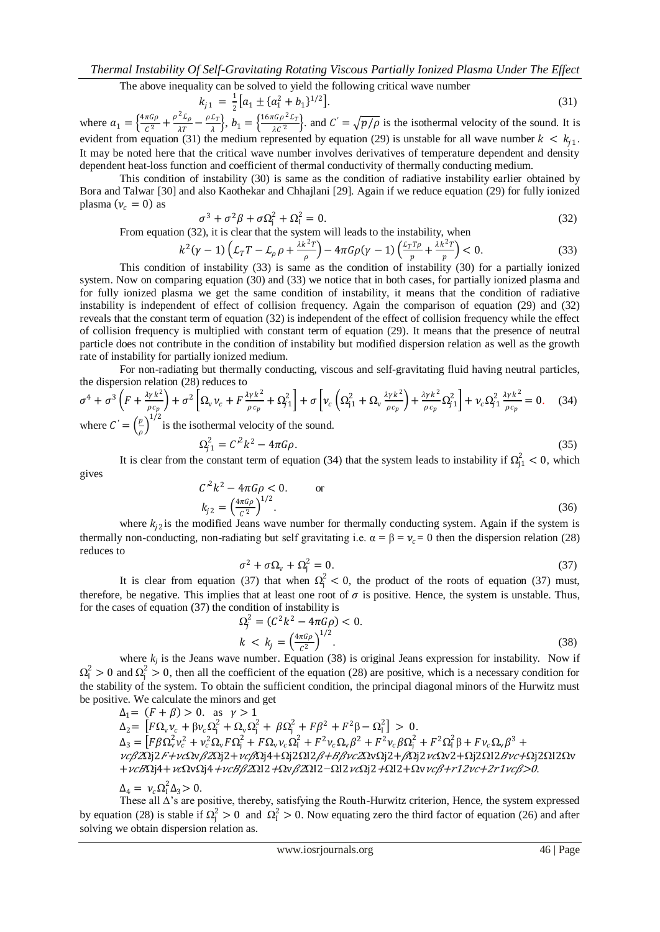The above inequality can be solved to yield the following critical wave number

$$
k_{j1} = \frac{1}{2} \left[ a_1 \pm \left\{ a_1^2 + b_1 \right\}^{1/2} \right]. \tag{31}
$$

where  $a_1 = \left\{ \frac{4\pi G \rho}{C^2} \right\}$  $\frac{\pi G \rho}{C^2} + \frac{\rho^2 L_{\rho}}{\lambda T}$  $\frac{2L_{\rho}}{\lambda T}-\frac{\rho L_{T}}{\lambda}$  $\frac{\mathcal{L}_T}{\lambda}$ ,  $b_1 = \left\{ \frac{16\pi G \rho^2 \mathcal{L}_T}{\lambda C^2} \right\}$  $\frac{\partial^2 L}{\partial C^2}$ . and  $C' = \sqrt{\frac{p}{\rho}}$  is the isothermal velocity of the sound. It is evident from equation (31) the medium represented by equation (29) is unstable for all wave number  $k < k_{j1}$ . It may be noted here that the critical wave number involves derivatives of temperature dependent and density dependent heat-loss function and coefficient of thermal conductivity of thermally conducting medium.

This condition of instability (30) is same as the condition of radiative instability earlier obtained by Bora and Talwar [30] and also Kaothekar and Chhajlani [29]. Again if we reduce equation (29) for fully ionized plasma  $(v_c = 0)$  as

$$
\sigma^3 + \sigma^2 \beta + \sigma \Omega_{j}^2 + \Omega_{l}^2 = 0. \tag{32}
$$

From equation (32), it is clear that the system will leads to the instability, when

$$
k^{2}(\gamma-1)\left(\mathcal{L}_{T}T-\mathcal{L}_{\rho}\rho+\frac{\lambda k^{2}T}{\rho}\right)-4\pi G\rho(\gamma-1)\left(\frac{\mathcal{L}_{T}T\rho}{\rho}+\frac{\lambda k^{2}T}{\rho}\right)<0.
$$
\n(33)

This condition of instability (33) is same as the condition of instability (30) for a partially ionized system. Now on comparing equation (30) and (33) we notice that in both cases, for partially ionized plasma and for fully ionized plasma we get the same condition of instability, it means that the condition of radiative instability is independent of effect of collision frequency. Again the comparison of equation (29) and (32) reveals that the constant term of equation (32) is independent of the effect of collision frequency while the effect of collision frequency is multiplied with constant term of equation (29). It means that the presence of neutral particle does not contribute in the condition of instability but modified dispersion relation as well as the growth rate of instability for partially ionized medium.

For non-radiating but thermally conducting, viscous and self-gravitating fluid having neutral particles, the dispersion relation (28) reduces to

$$
\sigma^4 + \sigma^3 \left( F + \frac{\lambda y k^2}{\rho c_p} \right) + \sigma^2 \left[ \Omega_v v_c + F \frac{\lambda y k^2}{\rho c_p} + \Omega_{j1}^2 \right] + \sigma \left[ v_c \left( \Omega_{j1}^2 + \Omega_v \frac{\lambda y k^2}{\rho c_p} \right) + \frac{\lambda y k^2}{\rho c_p} \Omega_{j1}^2 \right] + v_c \Omega_{j1}^2 \frac{\lambda y k^2}{\rho c_p} = 0. \quad (34)
$$
  
where  $C = \left( \frac{p}{r} \right)^{1/2}$  is the isothermal velocity of the sound.

 $\frac{\rho}{\rho}$  $\Omega_{j1}^2 = C^2 k^2 - 4\pi G \rho.$  (35)

$$
(35)
$$

It is clear from the constant term of equation (34) that the system leads to instability if  $\Omega_{j1}^2 < 0$ , which gives

$$
C^{2}k^{2} - 4\pi G\rho < 0.
$$
 or  

$$
k_{j2} = \left(\frac{4\pi G\rho}{c^{2}}\right)^{1/2}.
$$
 (36)

where  $k_{j2}$  is the modified Jeans wave number for thermally conducting system. Again if the system is thermally non-conducting, non-radiating but self gravitating i.e.  $\alpha = \beta = v_c = 0$  then the dispersion relation (28) reduces to

$$
\sigma^2 + \sigma \Omega_v + \Omega_j^2 = 0. \tag{37}
$$

It is clear from equation (37) that when  $\Omega_j^2 < 0$ , the product of the roots of equation (37) must, therefore, be negative. This implies that at least one root of  $\sigma$  is positive. Hence, the system is unstable. Thus, for the cases of equation (37) the condition of instability is

$$
\Omega_j^2 = (C^2 k^2 - 4\pi G \rho) < 0. \tag{38}
$$
\n
$$
k < k_j = \left(\frac{4\pi G \rho}{C^2}\right)^{1/2} . \tag{38}
$$

where  $k_j$  is the Jeans wave number. Equation (38) is original Jeans expression for instability. Now if  $\Omega_1^2 > 0$  and  $\Omega_j^2 > 0$ , then all the coefficient of the equation (28) are positive, which is a necessary condition for the stability of the system. To obtain the sufficient condition, the principal diagonal minors of the Hurwitz must be positive. We calculate the minors and get

 $\Delta_1 = (F + \beta) > 0$ . as  $\gamma > 1$  $\Delta_2 = \left[ F \Omega_v v_c + \beta v_c \Omega_j^2 + \Omega_v \Omega_j^2 + \beta \Omega_j^2 + F \beta^2 + F^2 \beta - \Omega_i^2 \right] > 0.$  $\Delta_3 = \left[ F \beta \Omega_v^2 v_c^2 + v_c^2 \Omega_v F \Omega_j^2 + F \Omega_v v_c \Omega_l^2 + F^2 v_c \Omega_v \beta^2 + F^2 v_c \beta \Omega_j^2 + F^2 \Omega_l^2 \beta + F v_c \Omega_v \beta^3 + \right.$  $v c \beta$ 2Ωj2F+ $v c \Omega$ v $\beta$ 2Ωj2+ $v c \beta$ Ωj4+Ωj2ΩI2 $\beta$ +Ββvc2ΩvΩj2+ $\beta$ Ωj2 $v c \Omega$ v2+Ωj2ΩI2 $B$ vc+Ωj2ΩI2Ωv +vcBΩj4+vcΩvΩj4+vcBβ2ΩI2+Ωvβ2ΩI2−ΩI2vcΩj2+ΩI2+Ωvvcβ+r12vc+2r1vcβ>0.

$$
\Delta_4 = \nu_c \Omega_{\rm I}^2 \Delta_3 > 0.
$$

These all Δ"s are positive, thereby, satisfying the Routh-Hurwitz criterion, Hence, the system expressed by equation (28) is stable if  $\Omega_j^2 > 0$  and  $\Omega_l^2 > 0$ . Now equating zero the third factor of equation (26) and after solving we obtain dispersion relation as.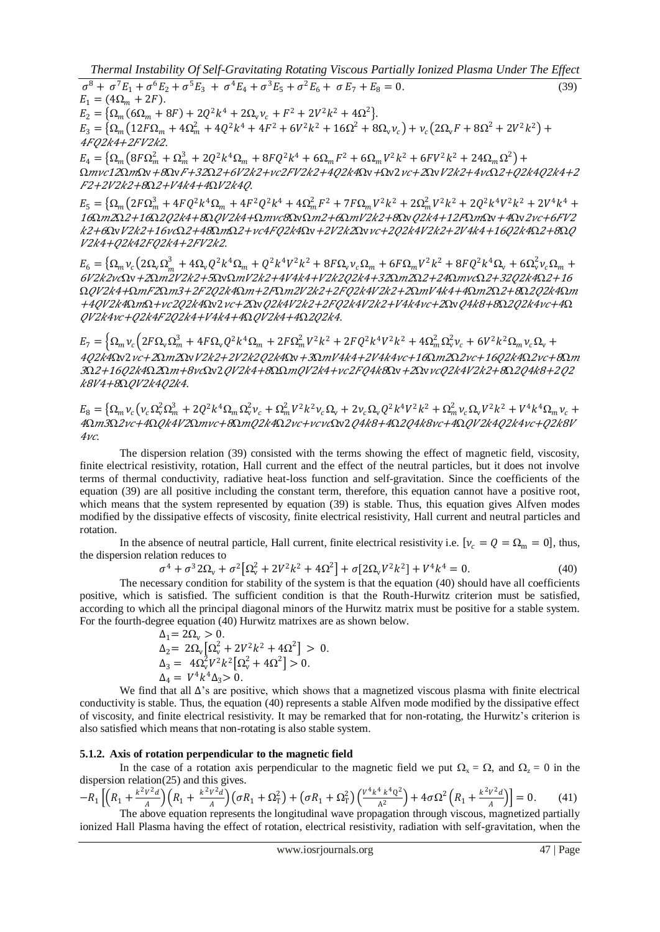*Thermal Instability Of Self-Gravitating Rotating Viscous Partially Ionized Plasma Under The Effect* 

 $\sigma^8 + \sigma^7 E_1 + \sigma^6 E_2 + \sigma^5 E_3 + \sigma^4 E_4 + \sigma^3 E_5 + \sigma^2 E_6 + \sigma E_7 + E_8 = 0.$ (39)  $E_1 = (4\Omega_m + 2F).$  $E_2 = {\Omega_m (6\Omega_m + 8F) + 2Q^2k^4 + 2\Omega_v v_c + F^2 + 2V^2k^2 + 4\Omega^2}.$  $E_3 = \left\{ \Omega_m \left( 12F \Omega_m + 4\Omega_m^2 + 4Q^2k^4 + 4F^2 + 6V^2k^2 + 16\Omega^2 + 8\Omega_v v_c \right) + v_c \left( 2\Omega_v F + 8\Omega^2 + 2V^2k^2 \right) +$ 4F02k4+2FV2k2.

 $E_4 = \left\{ \Omega_m \left( 8F \Omega_m^2 + \Omega_m^3 + 2Q^2 k^4 \Omega_m + 8FQ^2 k^4 + 6\Omega_m F^2 + 6\Omega_m V^2 k^2 + 6FV^2 k^2 + 24\Omega_m \Omega^2 \right) + \right\}$ Ωmvc12ΩmΩv+8ΩvF+32Ω2+6V2k2+vc2FV2k2+4Q2k4Ωv+Ωv2vc+2ΩvV2k2+4vcΩ2+02k4O2k4+2 F2+2V2k2+8Ω2+V4k4+4ΩV2k40.

 $E_5 = \left\{ \Omega_m \left( 2F \Omega_m^3 + 4F Q^2 k^4 \Omega_m + 4F^2 Q^2 k^4 + 4 \Omega_m^2 F^2 + 7F \Omega_m V^2 k^2 + 2 \Omega_m^2 V^2 k^2 + 2 Q^2 k^4 V^2 k^2 + 2 V^4 k^4 + 4 V^2 K^2 K^2 \right) \right\}$ 16Ωm2Ω2+16Ω2Q2k4+8ΩQV2k4+Ωmvc8ΩvΩm2+6ΩmV2k2+8ΩvQ2k4+12FΩmΩv+4Ωv2vc+6FV2  $k2+\theta$ ΩvV2k2+16νcΩ2+48ΩmΩ2+νc4FQ2k4Ωv+2V2k2Ωvvc+2Q2k4V2k2+2V4k4+16Q2k4Ω2+8ΩQ V2k4+Q2k42FQ2k4+2FV2k2.

 $E_6 = \left\{ \Omega_m v_c \left( 2 \Omega_v \Omega_m^3 + 4 \Omega_v Q^2 k^4 \Omega_m + Q^2 k^4 V^2 k^2 + 8 F \Omega_v v_c \Omega_m + 6 F \Omega_m V^2 k^2 + 8 F Q^2 k^4 \Omega_v + 6 \Omega_v^2 v_c \Omega_m + 6 F \Omega_v^2 k^4 \Omega_v \right) \right\}$ <sup>6</sup>22Ωv+2Ω222+5ΩvΩ22+444+2224+32Ω<sup>2</sup>Ω2+24ΩΩ2+3224Ω2+16 ΩQV2k4+ΩmF2Ωm3+2F2Q2k4Ωm+2FΩm2V2k2+2FQ2k4V2k2+2ΩmV4k4+4Ωm2Ω2+8Ω2Q2k4Ωm +4QV2k4ΩmΩ+vc2Q2k4Ωv2vc+2ΩvQ2k4V2k2+2FQ2k4V2k2+V4k4vc+2ΩvQ4k8+8Ω2Q2k4vc+4Ω QV2k4vc+Q2k4F2Q2k4+V4k4+4ΩQV2k4+4Ω2Q2k4.

 $E_7 = \left\{ \Omega_m v_c \left( 2F \Omega_v \Omega_m^3 + 4F \Omega_v Q^2 k^4 \Omega_m + 2F \Omega_m^2 V^2 k^2 + 2F Q^2 k^4 V^2 k^2 + 4 \Omega_m^2 \Omega_v^2 v_c + 6V^2 k^2 \Omega_m v_c \Omega_v + 4F \Omega_v \Omega_v^2 \right) \right\}$ 4Q2k4Ωv2vc+2Ωm2ΩvV2k2+2V2k2Q2k4Ωv+3ΩmV4k4+2V4k4vc+16Ωm2Ω2vc+16Q2k4Ω2vc+8Ωm 3Ω2+16Q2k4Ω2Ωm+8vcΩv2QV2k4+8ΩΩmQV2k4+vc2FQ4k8Ωv+2ΩvvcQ2k4V2k2+8Ω2Q4k8+2Q2 k8V4+8ΩOV2k4O2k4.

 $E_8 = \left\{ \Omega_m v_c \left( v_c \Omega_w^2 \Omega_m^3 + 2 Q^2 k^4 \Omega_m \Omega_v^2 v_c + \Omega_m^2 V^2 k^2 v_c \Omega_v + 2 v_c \Omega_v Q^2 k^4 V^2 k^2 + \Omega_m^2 v_c \Omega_v V^2 k^2 + V^4 k^4 \Omega_m v_c + 2 v_c \Omega_v^2 k^2 V^2 k^2 \right) \right\}$ 4Ωm3Ω2vc+4Ω*Qk4V2*Ωmvc+8ΩmQ2k4Ω2vc+vcvcΩv2Q4k8+4Ω2Q4k8vc+4ΩQV2k4Q2k4vc+Q2k8V  $4\nu c$ 

The dispersion relation (39) consisted with the terms showing the effect of magnetic field, viscosity, finite electrical resistivity, rotation, Hall current and the effect of the neutral particles, but it does not involve terms of thermal conductivity, radiative heat-loss function and self-gravitation. Since the coefficients of the equation (39) are all positive including the constant term, therefore, this equation cannot have a positive root, which means that the system represented by equation (39) is stable. Thus, this equation gives Alfven modes modified by the dissipative effects of viscosity, finite electrical resistivity, Hall current and neutral particles and rotation.

In the absence of neutral particle, Hall current, finite electrical resistivity i.e.  $[\nu_c = Q = \Omega_m = 0]$ , thus, the dispersion relation reduces to

$$
\sigma^4 + \sigma^3 2\Omega_v + \sigma^2 \left[\Omega_v^2 + 2V^2k^2 + 4\Omega^2\right] + \sigma \left[2\Omega_v V^2 k^2\right] + V^4 k^4 = 0. \tag{40}
$$

The necessary condition for stability of the system is that the equation (40) should have all coefficients positive, which is satisfied. The sufficient condition is that the Routh-Hurwitz criterion must be satisfied, according to which all the principal diagonal minors of the Hurwitz matrix must be positive for a stable system. For the fourth-degree equation (40) Hurwitz matrixes are as shown below.

$$
\Delta_1 = 2\Omega_v > 0.
$$
  
\n
$$
\Delta_2 = 2\Omega_v [\Omega_v^2 + 2V^2k^2 + 4\Omega^2] > 0.
$$
  
\n
$$
\Delta_3 = 4\Omega_v^2 V^2 k^2 [\Omega_v^2 + 4\Omega^2] > 0.
$$
  
\n
$$
\Delta_4 = V^4 k^4 \Delta_3 > 0.
$$

We find that all  $\Delta$ 's are positive, which shows that a magnetized viscous plasma with finite electrical conductivity is stable. Thus, the equation (40) represents a stable Alfven mode modified by the dissipative effect of viscosity, and finite electrical resistivity. It may be remarked that for non-rotating, the Hurwitz"s criterion is also satisfied which means that non-rotating is also stable system.

#### **5.1.2. Axis of rotation perpendicular to the magnetic field**

In the case of a rotation axis perpendicular to the magnetic field we put  $\Omega_x = \Omega$ , and  $\Omega_z = 0$  in the dispersion relation(25) and this gives.

 $-R_1 \left[ \left( R_1 + \frac{k^2 V^2 d}{4} \right)$  $\frac{V^2 d}{A}$  $\bigg(R_1 + \frac{k^2 V^2 d}{A}\bigg)$  $\left(\sigma R_1 + \Omega_{\rm T}^2\right) + \left(\sigma R_1 + \Omega_{\rm T}^2\right) \left(\frac{V^4 k^4 k^4 Q^2}{A^2}\right)$  $\frac{4 k^4 Q^2}{A^2}$  +  $4 \sigma \Omega^2 \left( R_1 + \frac{k^2 V^2 d}{A} \right)$  $\left[\frac{V-a}{A}\right] = 0.$  (41) The above equation represents the longitudinal wave propagation through viscous, magnetized partially ionized Hall Plasma having the effect of rotation, electrical resistivity, radiation with self-gravitation, when the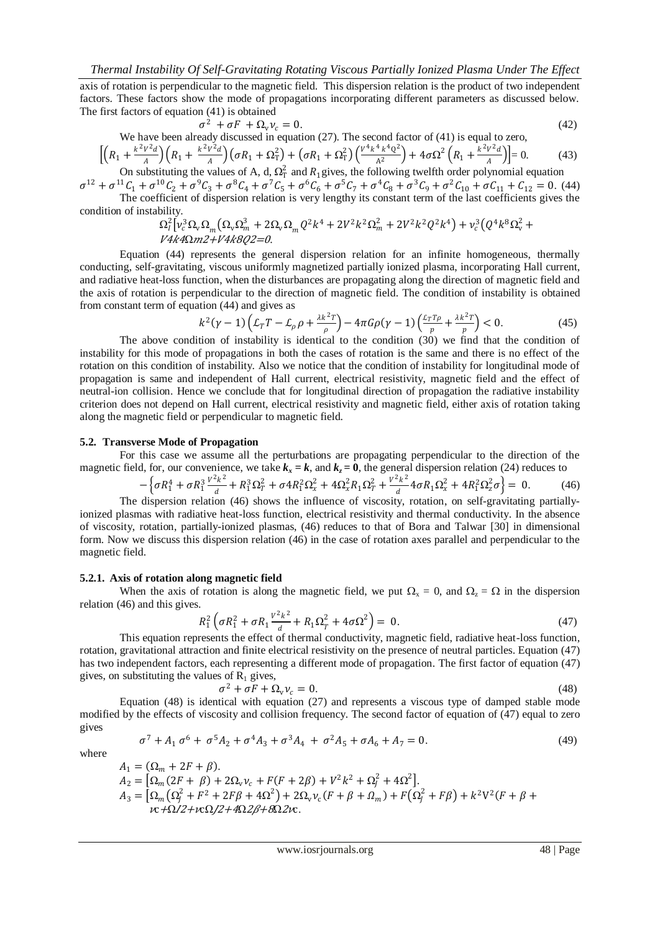axis of rotation is perpendicular to the magnetic field. This dispersion relation is the product of two independent factors. These factors show the mode of propagations incorporating different parameters as discussed below. The first factors of equation (41) is obtained

$$
\sigma^2 + \sigma F + \Omega_v \nu_c = 0. \tag{42}
$$

We have been already discussed in equation (27). The second factor of (41) is equal to zero,  
\n
$$
\left[ \left( R_1 + \frac{k^2 V^2 d}{A} \right) \left( R_1 + \frac{k^2 V^2 d}{A} \right) \left( \sigma R_1 + \Omega_T^2 \right) + \left( \sigma R_1 + \Omega_T^2 \right) \left( \frac{V^4 k^4 k^4 Q^2}{A^2} \right) + 4 \sigma \Omega^2 \left( R_1 + \frac{k^2 V^2 d}{A} \right) \right] = 0. \tag{43}
$$

On substituting the values of A, d,  $\Omega_T^2$  and  $R_1$  gives, the following twelfth order polynomial equation  $\sigma^{12} + \sigma^{11}C_1 + \sigma^{10}C_2 + \sigma^9C_3 + \sigma^8C_4 + \sigma^7C_5 + \sigma^6C_6 + \sigma^5C_7 + \sigma^4C_8 + \sigma^3C_9 + \sigma^2C_{10} + \sigma C_{11} + C_{12} = 0.$  (44)

The coefficient of dispersion relation is very lengthy its constant term of the last coefficients gives the condition of instability.

$$
\Omega_{l}^{2}[\nu_{c}^{3}\Omega_{v}\Omega_{m}(\Omega_{v}\Omega_{m}^{3}+2\Omega_{v}\Omega_{m}Q^{2}k^{4}+2V^{2}k^{2}\Omega_{m}^{2}+2V^{2}k^{2}Q^{2}k^{4})+\nu_{c}^{3}(Q^{4}k^{8}\Omega_{v}^{2}+V4k4\Omega m2+V4k8Q2=0.
$$

Equation (44) represents the general dispersion relation for an infinite homogeneous, thermally conducting, self-gravitating, viscous uniformly magnetized partially ionized plasma, incorporating Hall current, and radiative heat-loss function, when the disturbances are propagating along the direction of magnetic field and the axis of rotation is perpendicular to the direction of magnetic field. The condition of instability is obtained from constant term of equation (44) and gives as

$$
k^2(\gamma - 1)\left(\mathcal{L}_T T - \mathcal{L}_\rho \rho + \frac{\lambda k^2 T}{\rho}\right) - 4\pi G \rho (\gamma - 1) \left(\frac{\mathcal{L}_T T \rho}{p} + \frac{\lambda k^2 T}{p}\right) < 0. \tag{45}
$$

The above condition of instability is identical to the condition (30) we find that the condition of instability for this mode of propagations in both the cases of rotation is the same and there is no effect of the rotation on this condition of instability. Also we notice that the condition of instability for longitudinal mode of propagation is same and independent of Hall current, electrical resistivity, magnetic field and the effect of neutral-ion collision. Hence we conclude that for longitudinal direction of propagation the radiative instability criterion does not depend on Hall current, electrical resistivity and magnetic field, either axis of rotation taking along the magnetic field or perpendicular to magnetic field.

## **5.2. Transverse Mode of Propagation**

For this case we assume all the perturbations are propagating perpendicular to the direction of the magnetic field, for, our convenience, we take  $k_x = k$ , and  $k_z = 0$ , the general dispersion relation (24) reduces to

$$
-\left\{\sigma R_1^4 + \sigma R_1^3 \frac{v^2 k^2}{d} + R_1^3 \Omega_T^2 + \sigma 4 R_1^2 \Omega_x^2 + 4 \Omega_x^2 R_1 \Omega_T^2 + \frac{v^2 k^2}{d} 4 \sigma R_1 \Omega_x^2 + 4 R_1^2 \Omega_z^2 \sigma\right\} = 0.
$$
 (46)  
The dispersion relation (46) shows the influence of viscosity, rotation, on self-gravitating partially-

ionized plasmas with radiative heat-loss function, electrical resistivity and thermal conductivity. In the absence of viscosity, rotation, partially-ionized plasmas, (46) reduces to that of Bora and Talwar [30] in dimensional form. Now we discuss this dispersion relation (46) in the case of rotation axes parallel and perpendicular to the magnetic field.

## **5.2.1. Axis of rotation along magnetic field**

When the axis of rotation is along the magnetic field, we put  $\Omega_x = 0$ , and  $\Omega_z = \Omega$  in the dispersion relation (46) and this gives.

$$
R_1^2 \left( \sigma R_1^2 + \sigma R_1 \frac{v^2 k^2}{d} + R_1 \Omega_T^2 + 4 \sigma \Omega^2 \right) = 0. \tag{47}
$$

This equation represents the effect of thermal conductivity, magnetic field, radiative heat-loss function, rotation, gravitational attraction and finite electrical resistivity on the presence of neutral particles. Equation (47) has two independent factors, each representing a different mode of propagation. The first factor of equation (47) gives, on substituting the values of  $R_1$  gives,  $\sigma^2$  -

$$
^{2}+\sigma F+\Omega _{v}v_{c}=0.\tag{48}
$$

Equation (48) is identical with equation (27) and represents a viscous type of damped stable mode modified by the effects of viscosity and collision frequency. The second factor of equation of (47) equal to zero gives

where

$$
\sigma^7 + A_1 \sigma^6 + \sigma^5 A_2 + \sigma^4 A_3 + \sigma^3 A_4 + \sigma^2 A_5 + \sigma A_6 + A_7 = 0. \tag{49}
$$

$$
A_1 = (\Omega_m + 2F + \beta).
$$
  
\n
$$
A_2 = [\Omega_m (2F + \beta) + 2\Omega_v v_c + F(F + 2\beta) + V^2 k^2 + \Omega_j^2 + 4\Omega^2].
$$
  
\n
$$
A_3 = [\Omega_m (\Omega_j^2 + F^2 + 2F\beta + 4\Omega^2) + 2\Omega_v v_c (F + \beta + \Omega_m) + F(\Omega_j^2 + F\beta) + k^2 V^2 (F + \beta + \nu c + \Omega/2 + \nu c)/2 + 4\Omega/2\beta + 8\Omega/2\nu c.
$$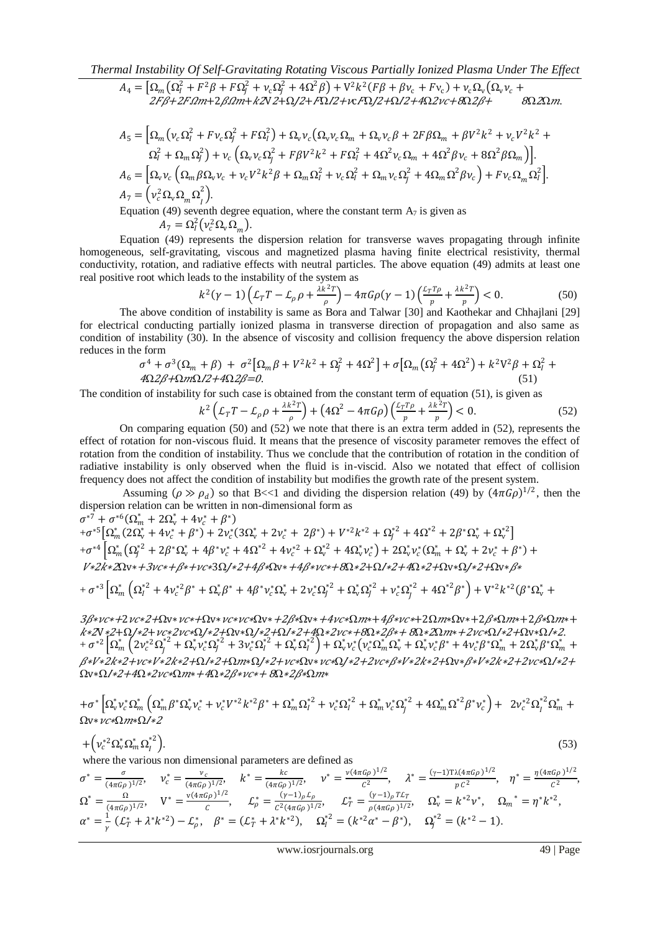$$
A_4 = \left[\Omega_m\left(\Omega_I^2 + F^2\beta + F\Omega_J^2 + \nu_c\Omega_J^2 + 4\Omega^2\beta\right) + V^2k^2(F\beta + \beta\nu_c + F\nu_c) + \nu_c\Omega_v\left(\Omega_v\nu_c + 2F\beta + 2F\Omega m + 2\beta\Omega m + kZV^2 + \Omega/2 + F\Omega/2 + \nu_c F\Omega/2 + 4\Omega/2\nu_c + 8\Omega/2\beta + 8\Omega/2\Omega m\right]\right]
$$

$$
A_5 = \left[\Omega_m \left(v_c \Omega_l^2 + F v_c \Omega_l^2 + F \Omega_l^2\right) + \Omega_v v_c \left(\Omega_v v_c \Omega_m + \Omega_v v_c \beta + 2F \beta \Omega_m + \beta V^2 k^2 + v_c V^2 k^2 + \Omega_l^2 + \Omega_m \Omega_l^2\right) + v_c \left(\Omega_v v_c \Omega_l^2 + F \beta V^2 k^2 + F \Omega_l^2 + 4\Omega_l^2 v_c \Omega_m + 4\Omega_l^2 \beta v_c + 8\Omega_l^2 \beta \Omega_m\right)\right].
$$
  
\n
$$
A_6 = \left[\Omega_v v_c \left(\Omega_m \beta \Omega_v v_c + v_c V^2 k^2 \beta + \Omega_m \Omega_l^2 + v_c \Omega_l^2 + \Omega_m v_c \Omega_l^2 + 4\Omega_m \Omega_l^2 \beta v_c\right) + F v_c \Omega_m \Omega_l^2\right].
$$
  
\n
$$
A_7 = \left(v_c^2 \Omega_v \Omega_m \Omega_l^2\right).
$$

Equation (49) seventh degree equation, where the constant term  $A_7$  is given as  $A_7 = \Omega_l^2 (v_c^2 \Omega_v \Omega_m).$ 

Equation (49) represents the dispersion relation for transverse waves propagating through infinite homogeneous, self-gravitating, viscous and magnetized plasma having finite electrical resistivity, thermal conductivity, rotation, and radiative effects with neutral particles. The above equation (49) admits at least one real positive root which leads to the instability of the system as

$$
k^{2}(\gamma - 1)\left(\mathcal{L}_{T}T - \mathcal{L}_{\rho}\rho + \frac{\lambda k^{2}T}{\rho}\right) - 4\pi G\rho(\gamma - 1)\left(\frac{\mathcal{L}_{T}T\rho}{p} + \frac{\lambda k^{2}T}{\rho}\right) < 0. \tag{50}
$$

The above condition of instability is same as Bora and Talwar [30] and Kaothekar and Chhajlani [29] for electrical conducting partially ionized plasma in transverse direction of propagation and also same as condition of instability (30). In the absence of viscosity and collision frequency the above dispersion relation reduces in the form

$$
\sigma^4 + \sigma^3(\Omega_m + \beta) + \sigma^2[\Omega_m\beta + V^2k^2 + \Omega_f^2 + 4\Omega^2] + \sigma[\Omega_m(\Omega_f^2 + 4\Omega^2) + k^2V^2\beta + \Omega_f^2 + 4\Omega_2\beta + \Omega_m\Omega_2/2 + 4\Omega_2\beta = 0.
$$
\n(51)

The condition of instability for such case is obtained from the constant term of equation (51), is given as

$$
k^2 \left( \mathcal{L}_T T - \mathcal{L}_\rho \rho + \frac{\lambda k^2 T}{\rho} \right) + \left( 4\Omega^2 - 4\pi G \rho \right) \left( \frac{\mathcal{L}_T T \rho}{p} + \frac{\lambda k^2 T}{p} \right) < 0. \tag{52}
$$

On comparing equation (50) and (52) we note that there is an extra term added in (52), represents the effect of rotation for non-viscous fluid. It means that the presence of viscosity parameter removes the effect of rotation from the condition of instability. Thus we conclude that the contribution of rotation in the condition of radiative instability is only observed when the fluid is in-viscid. Also we notated that effect of collision frequency does not affect the condition of instability but modifies the growth rate of the present system.

Assuming  $(\rho \gg \rho_d)$  so that B<<1 and dividing the dispersion relation (49) by  $(4\pi G\rho)^{1/2}$ , then the dispersion relation can be written in non-dimensional form as

$$
\sigma^{*7} + \sigma^{*6}(\Omega_m^* + 2\Omega_v^* + 4\nu_c^* + \beta^*)
$$
\n
$$
+ \sigma^{*5}[\Omega_m^*(2\Omega_v^* + 4\nu_c^* + \beta^*) + 2\nu_c^*(3\Omega_v^* + 2\nu_c^* + 2\beta^*) + V^{*2}k^{*2} + \Omega_l^{*2} + 4\Omega^{*2} + 2\beta^*\Omega_v^* + \Omega_v^{*2}]
$$
\n
$$
+ \sigma^{*4}[\Omega_m^*(\Omega_l^{*2} + 2\beta^*\Omega_v^* + 4\beta^*\nu_c^* + 4\Omega^{*2} + 4\nu_c^{*2} + \Omega_v^{*2} + 4\Omega_v^*\nu_c^*) + 2\Omega_v^*\nu_c^*(\Omega_m^* + \Omega_v^* + 2\nu_c^* + \beta^*) + V \times 2k \times 2\Omega v \times + \beta \times + \nu c \times 3\Omega / \times 2 + 4\beta \times \Omega v \times + 4\beta \times \nu c \times + 6\Omega \times 2 + \Omega / \times 2 + 4\Omega \times 2 + \Omega / \times 2 + 4\Omega \times 2 + \Omega v \times \Omega / \times 2 + 4\Omega \times 2 + \Omega v \times \Omega / \times 2 + 4\Omega \times 2 + \Omega v \times \Omega / \times 2 + 4\Omega \times 2 + \Omega v \times \Omega / \times 2 + 4\Omega \times 2 + 4\Omega \times 2 + 4\Omega \times 2 + 4\Omega \times 2 + 4\Omega \times 2 + 4\Omega \times 2 + 4\Omega \times 2 + 4\Omega \times 2 + 4\Omega \times 2 + 4\Omega \times 2 + 4\Omega \times 2 + 4\Omega \times 2 + 4\Omega \times 2 + 4\Omega \times 2 + 4\Omega \times 2 + 4\Omega \times 2 + 4\Omega \times 2 + 4\Omega \times 2 + 4\Omega \times 2 + 4\Omega \times 2 + 4\Omega \times 2 + 4\Omega \times 2 + 4\Omega \times 2 + 4\Omega \times 2 + 4\Omega \times 2 + 4\Omega \times 2 + 4\Omega \times 2 + 4\Omega \times 2 + 4\Omega \times 2 + 4\Omega \times 2 + 4\Omega \times 2 + 4\Omega \times 2 + 4\Omega \times
$$

$$
+\sigma^{*3}\left[\Omega_{m}^{*}\left(\Omega_{I}^{*2}+4\nu_{c}^{*2}\beta^{*}+\Omega_{v}^{*}\beta^{*}+4\beta^{*}\nu_{c}^{*}\Omega_{v}^{*}+2\nu_{c}^{*}\Omega_{J}^{*2}+\Omega_{v}^{*}\Omega_{J}^{*2}+\nu_{c}^{*}\Omega_{J}^{*2}+4\Omega^{*2}\beta^{*}\right)+V^{*2}k^{*2}(\beta^{*}\Omega_{v}^{*}+2\Omega_{v}^{*}\Omega_{v}^{*})\right]
$$

3β∗νc∗+2νc∗2+Ωv∗νc∗+Ωv∗νc∗νc∗Ωv∗+2β\*Ωv∗+4νc∗Ωm∗+4β∗νc∗+2Ωm∗Ωv∗+2β\*Ωm∗+2β\*Ωm∗+ ∗2V∗<sup>2</sup>+Ω∗2+∗2∗Ω∗2+Ωv∗Ω∗2+Ω∗2+4Ω∗2∗+8Ω∗2∗+ 8Ω∗<sup>2</sup>Ω∗+2∗Ω∗2+Ωv∗Ω∗2.  $+ \, \sigma^{*2}\left[\Omega_{m}^{*}\left(2\nu_{c}^{*2}\Omega_{f}^{*2}+\Omega_{\rm v}^{*}\nu_{c}^{*}\Omega_{f}^{*2}+3\nu_{c}^{*}\Omega_{f}^{*2}+\Omega_{\rm v}^{*}\Omega_{f}^{*2}\right)+ \Omega_{\rm v}^{*}\nu_{c}^{*}\left(\nu_{c}^{*}\Omega_{m}^{*}\Omega_{\rm v}^{*}+\Omega_{\rm v}^{*}\nu_{c}^{*}\beta^{*}+4\nu_{c}^{*}\beta^{*}\Omega_{m}^{*}+2\Omega_{\rm v}^{*}\beta^{*}\Omega_{m}^{*}+\Omega_{\rm v}^{*}\nu_{$ ∗∗2∗2+∗∗2∗2+Ω∗2+Ω∗Ω∗2+∗Ωv∗∗Ω∗2+2∗∗∗2∗2+Ωv∗∗∗2∗2+2∗Ω∗2+  $\Omega_V*\Omega/z+4\Omega*2v$ c\* $\Omega$ m\* +4 $\Omega*2B*vc*+8\Omega*2B* \Omega$ m\*

$$
+\sigma^* \Big[\Omega_{\nu}^* \nu_c^* \Omega_m^* \Big(\Omega_m^* \beta^* \Omega_{\nu}^* \nu_c^* + \nu_c^* V^{*2} k^{*2} \beta^* + \Omega_m^* \Omega_l^{*2} + \nu_c^* \Omega_l^{*2} + \Omega_m^* \nu_c^* \Omega_J^{*2} + 4 \Omega_m^* \Omega^{*2} \beta^* \nu_c^* \Big) + 2 \nu_c^{*2} \Omega_l^{*2} \Omega_m^* + \Omega_{\nu} \nu_c \nu_c \Omega_{\nu} \nu_c \Omega_{\nu} \Omega_{\nu} \Omega_{\nu} \Omega_{\nu} \Omega_{\nu} \Omega_{\nu} \Omega_{\nu} \Omega_{\nu} \Omega_{\nu} \Omega_{\nu} \Omega_{\nu} \Omega_{\nu} \Omega_{\nu} \Omega_{\nu} \Omega_{\nu} \Omega_{\nu} \Omega_{\nu} \Omega_{\nu} \Omega_{\nu} \Omega_{\nu} \Omega_{\nu} \Omega_{\nu} \Omega_{\nu} \Omega_{\nu} \Omega_{\nu} \Omega_{\nu} \Omega_{\nu} \Omega_{\nu} \Omega_{\nu} \Omega_{\nu} \Omega_{\nu} \Omega_{\nu} \Omega_{\nu} \Omega_{\nu} \Omega_{\nu} \Omega_{\nu} \Omega_{\nu} \Omega_{\nu} \Omega_{\nu} \Omega_{\nu} \Omega_{\nu} \Omega_{\nu} \Omega_{\nu} \Omega_{\nu} \Omega_{\nu} \Omega_{\nu} \Omega_{\nu} \Omega_{\nu} \Omega_{\nu} \Omega_{\nu} \Omega_{\nu} \Omega_{\nu} \Omega_{\nu} \Omega_{\nu} \Omega_{\nu} \Omega_{\nu} \Omega_{\nu} \Omega_{\nu} \Omega_{\nu} \Omega_{\nu} \Omega_{\nu} \Omega_{\nu} \Omega_{\nu} \Omega_{\nu} \Omega_{\nu} \Omega_{\nu} \Omega_{\nu} \Omega_{\nu} \Omega_{\nu} \Omega_{\nu} \Omega_{\nu} \Omega_{\nu} \Omega_{\nu} \Omega_{\nu} \Omega_{\nu} \Omega_{\nu} \Omega_{\nu} \Omega_{\nu} \Omega_{\nu} \Omega_{\nu} \Omega_{\nu} \Omega_{\nu} \Omega_{\nu} \Omega_{\nu} \Omega_{\nu} \Omega_{\nu} \Omega_{\nu} \Omega_{\nu} \Omega_{\nu} \Omega_{\nu} \Omega_{\nu} \Omega_{\nu} \Omega_{\nu} \Omega_{\nu} \Omega_{\nu} \Omega_{\nu} \
$$

$$
+\left(\nu_c^{*2}\Omega_v^*\Omega_m^*\Omega_l^{*2}\right). \tag{53}
$$

where the various non dimensional parameters are defined as

$$
\sigma^* = \frac{\sigma}{(4\pi G\rho)^{1/2}}, \quad \nu_c^* = \frac{\nu_c}{(4\pi G\rho)^{1/2}}, \quad k^* = \frac{k_c}{(4\pi G\rho)^{1/2}}, \quad \nu^* = \frac{\nu(4\pi G\rho)^{1/2}}{c^2}, \quad \lambda^* = \frac{(\gamma - 1)T\lambda(4\pi G\rho)^{1/2}}{c^2}, \quad \eta^* = \frac{\eta(4\pi G\rho)^{1/2}}{c^2},
$$
\n
$$
\Omega^* = \frac{\Omega}{(4\pi G\rho)^{1/2}}, \quad V^* = \frac{\nu(4\pi G\rho)^{1/2}}{c}, \quad L^*_{\rho} = \frac{(\gamma - 1)\rho L\rho}{c^2(4\pi G\rho)^{1/2}}, \quad L^*_{T} = \frac{(\gamma - 1)\rho T L_T}{\rho(4\pi G\rho)^{1/2}}, \quad \Omega_{\nu}^* = k^{*2}\nu^*, \quad \Omega_{m}^* = \eta^* k^{*2},
$$
\n
$$
\alpha^* = \frac{1}{\gamma} (L^*_{T} + \lambda^* k^{*2}) - L^*_{\rho}, \quad \beta^* = (L^*_{T} + \lambda^* k^{*2}), \quad \Omega_{I}^{*2} = (k^{*2}\alpha^* - \beta^*), \quad \Omega_{J}^{*2} = (k^{*2} - 1).
$$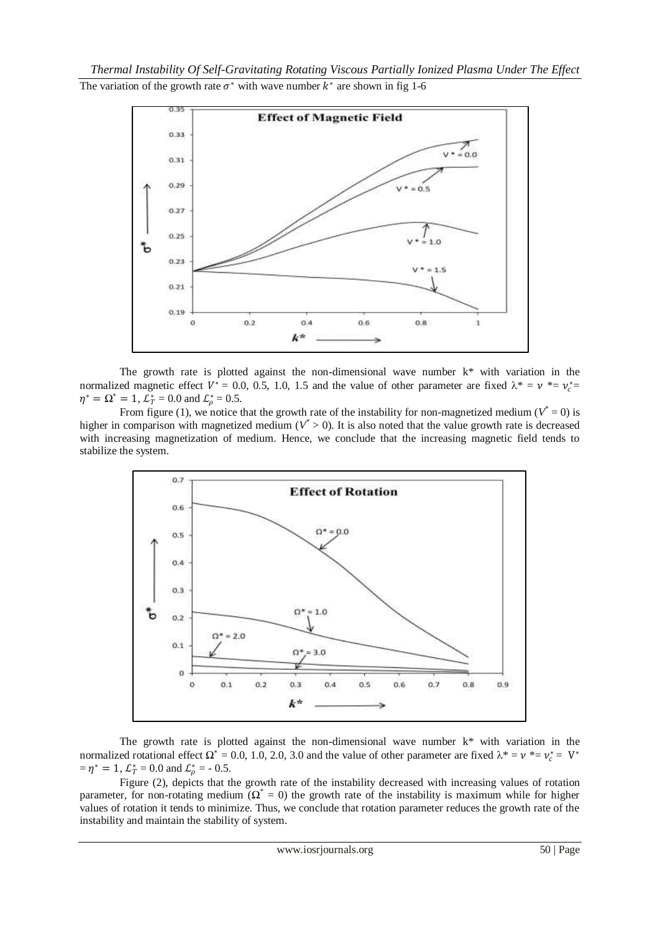*Thermal Instability Of Self-Gravitating Rotating Viscous Partially Ionized Plasma Under The Effect*  The variation of the growth rate  $\sigma^*$  with wave number  $k^*$  are shown in fig 1-6



The growth rate is plotted against the non-dimensional wave number  $k^*$  with variation in the normalized magnetic effect  $V^* = 0.0, 0.5, 1.0, 1.5$  and the value of other parameter are fixed  $\lambda^* = v^* = v_c^* = v_c^*$  $\eta^* = \Omega^* = 1$ ,  $\mathcal{L}_T^* = 0.0$  and  $\mathcal{L}_\rho^* = 0.5$ .

From figure (1), we notice that the growth rate of the instability for non-magnetized medium ( $V^* = 0$ ) is higher in comparison with magnetized medium ( $V^* > 0$ ). It is also noted that the value growth rate is decreased with increasing magnetization of medium. Hence, we conclude that the increasing magnetic field tends to stabilize the system.



The growth rate is plotted against the non-dimensional wave number  $k^*$  with variation in the normalized rotational effect  $\Omega^* = 0.0, 1.0, 2.0, 3.0$  and the value of other parameter are fixed  $\lambda^* = \nu^* = \nu_c^* = V^*$  $=\eta^* = 1$ ,  $\mathcal{L}_T^* = 0.0$  and  $\mathcal{L}_\rho^* = -0.5$ .

Figure (2), depicts that the growth rate of the instability decreased with increasing values of rotation parameter, for non-rotating medium  $(Q^* = 0)$  the growth rate of the instability is maximum while for higher values of rotation it tends to minimize. Thus, we conclude that rotation parameter reduces the growth rate of the instability and maintain the stability of system.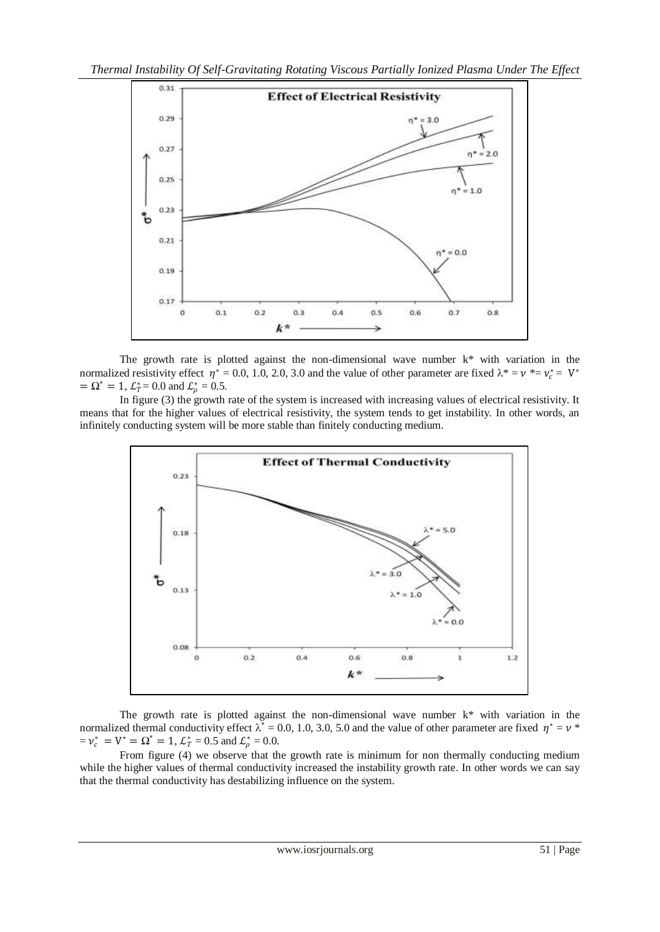

The growth rate is plotted against the non-dimensional wave number  $k^*$  with variation in the normalized resistivity effect  $\eta^* = 0.0, 1.0, 2.0, 3.0$  and the value of other parameter are fixed  $\lambda^* = \nu^* = \nu_c^* = V^*$  $= \Omega^* = 1$ ,  $\mathcal{L}_T^* = 0.0$  and  $\mathcal{L}_\rho^* = 0.5$ .

In figure (3) the growth rate of the system is increased with increasing values of electrical resistivity. It means that for the higher values of electrical resistivity, the system tends to get instability. In other words, an infinitely conducting system will be more stable than finitely conducting medium.



The growth rate is plotted against the non-dimensional wave number k\* with variation in the normalized thermal conductivity effect  $\lambda^* = 0.0, 1.0, 3.0, 5.0$  and the value of other parameter are fixed  $\eta^* = \nu^*$  $= v_c^* = V^* = \Omega^* = 1$ ,  $\mathcal{L}_T^* = 0.5$  and  $\mathcal{L}_\rho^* = 0.0$ .

From figure (4) we observe that the growth rate is minimum for non thermally conducting medium while the higher values of thermal conductivity increased the instability growth rate. In other words we can say that the thermal conductivity has destabilizing influence on the system.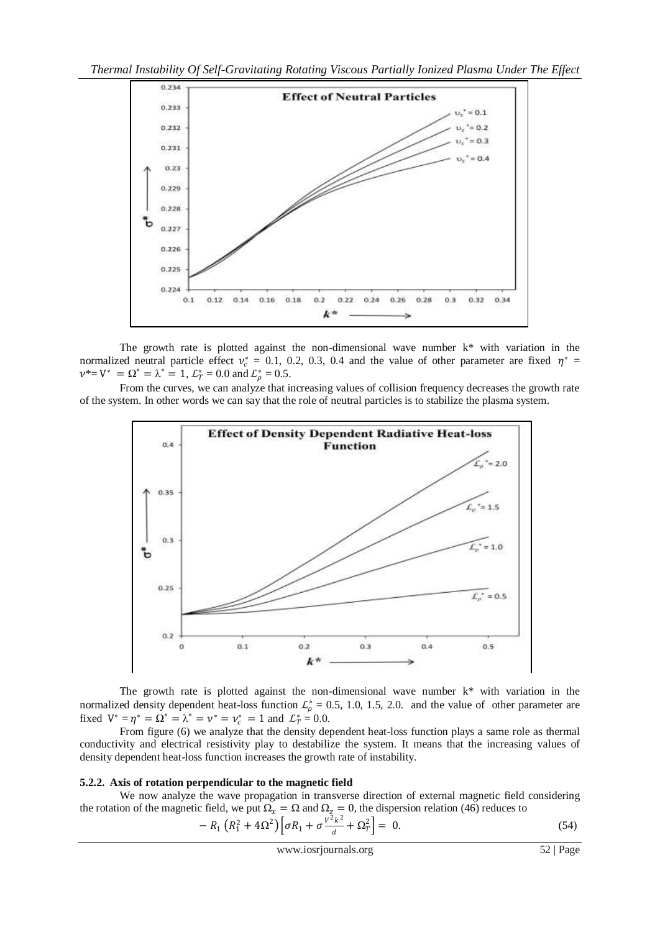

The growth rate is plotted against the non-dimensional wave number  $k^*$  with variation in the normalized neutral particle effect  $v_c^* = 0.1, 0.2, 0.3, 0.4$  and the value of other parameter are fixed  $\eta^* =$  $v^* = V^* = \Omega^* = \lambda^* = 1$ ,  $\mathcal{L}_T^* = 0.0$  and  $\mathcal{L}_\rho^* = 0.5$ .

From the curves, we can analyze that increasing values of collision frequency decreases the growth rate of the system. In other words we can say that the role of neutral particles is to stabilize the plasma system.



The growth rate is plotted against the non-dimensional wave number k\* with variation in the normalized density dependent heat-loss function  $\mathcal{L}_{\rho}^* = 0.5, 1.0, 1.5, 2.0$ . and the value of other parameter are fixed  $V^* = \eta^* = \Omega^* = \lambda^* = \nu^* = \nu_c^* = 1$  and  $\mathcal{L}_T^* = 0.0$ .

From figure (6) we analyze that the density dependent heat-loss function plays a same role as thermal conductivity and electrical resistivity play to destabilize the system. It means that the increasing values of density dependent heat-loss function increases the growth rate of instability.

## **5.2.2. Axis of rotation perpendicular to the magnetic field**

We now analyze the wave propagation in transverse direction of external magnetic field considering the rotation of the magnetic field, we put  $\Omega_x = \Omega$  and  $\Omega_z = 0$ , the dispersion relation (46) reduces to

$$
-R_1 \left( R_1^2 + 4\Omega^2 \right) \left[ \sigma R_1 + \sigma \frac{v^2 k^2}{d} + \Omega_T^2 \right] = 0. \tag{54}
$$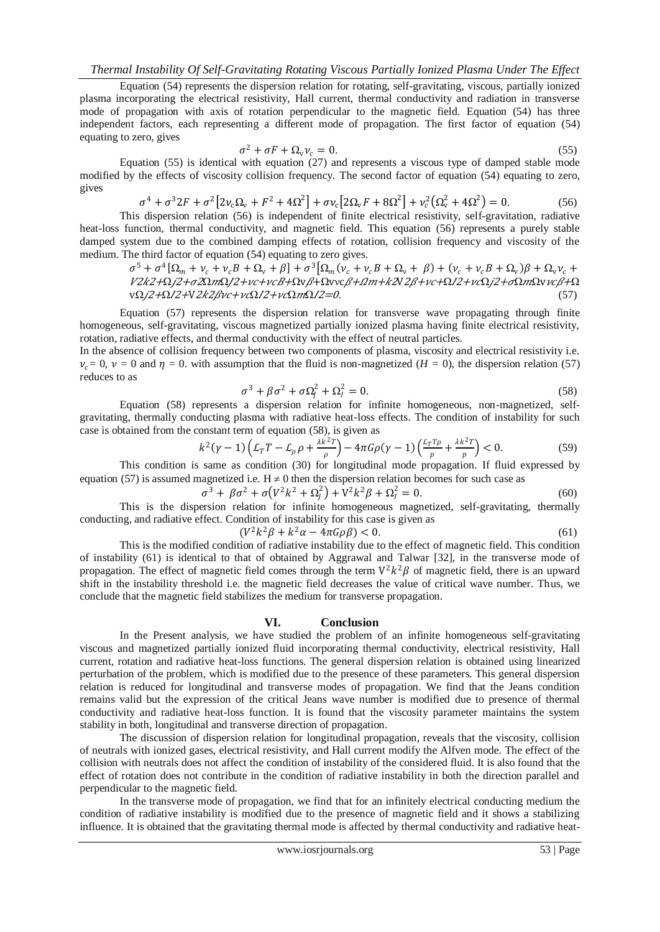Equation (54) represents the dispersion relation for rotating, self-gravitating, viscous, partially ionized plasma incorporating the electrical resistivity, Hall current, thermal conductivity and radiation in transverse mode of propagation with axis of rotation perpendicular to the magnetic field. Equation (54) has three independent factors, each representing a different mode of propagation. The first factor of equation (54) equating to zero, gives

$$
\sigma^2 + \sigma F + \Omega_v \nu_c = 0. \tag{55}
$$

Equation (55) is identical with equation (27) and represents a viscous type of damped stable mode modified by the effects of viscosity collision frequency. The second factor of equation (54) equating to zero, gives

$$
\sigma^4 + \sigma^3 2F + \sigma^2 \left[ 2v_c \Omega_v + F^2 + 4\Omega^2 \right] + \sigma v_c \left[ 2\Omega_v F + 8\Omega^2 \right] + v_c^2 \left( \Omega_v^2 + 4\Omega^2 \right) = 0. \tag{56}
$$

This dispersion relation (56) is independent of finite electrical resistivity, self-gravitation, radiative heat-loss function, thermal conductivity, and magnetic field. This equation (56) represents a purely stable damped system due to the combined damping effects of rotation, collision frequency and viscosity of the medium. The third factor of equation (54) equating to zero gives.

 $\sigma^5 + \sigma^4[\Omega_m + \nu_c + \nu_c B + \Omega_v + \beta] + \sigma^3[\Omega_m(\nu_c + \nu_c B + \Omega_v + \beta) + (\nu_c + \nu_c B + \Omega_v)\beta + \Omega_v\nu_c + \beta]$  $V2k2+\Omega j2+\sigma2\Omega m\Omega/2+\nu c+\nu cB+\Omega\nu\beta+\Omega\nu\nu c\beta+\Omega m+kZV2\beta+\nu c+\Omega I2+\nu c\Omega j2+\sigma\Omega m\Omega\nu\nu c\beta+\Omega$  $\nabla \Omega /2 + \Omega /2 + \nabla 2k^2 \Delta \nu c + \nu c \Omega /2 + \nu c \Omega m \Omega /2 = 0.$ (57)

Equation (57) represents the dispersion relation for transverse wave propagating through finite homogeneous, self-gravitating, viscous magnetized partially ionized plasma having finite electrical resistivity, rotation, radiative effects, and thermal conductivity with the effect of neutral particles.

In the absence of collision frequency between two components of plasma, viscosity and electrical resistivity i.e.  $\nu_c = 0$ ,  $\nu = 0$  and  $\eta = 0$ , with assumption that the fluid is non-magnetized (*H* = 0), the dispersion relation (57) reduces to as

$$
\sigma^3 + \beta \sigma^2 + \sigma \Omega_j^2 + \Omega_l^2 = 0. \tag{58}
$$

Equation (58) represents a dispersion relation for infinite homogeneous, non-magnetized, selfgravitating, thermally conducting plasma with radiative heat-loss effects. The condition of instability for such case is obtained from the constant term of equation (58), is given as

$$
k^{2}(\gamma-1)\left(\mathcal{L}_{T}T-\mathcal{L}_{\rho}\rho+\frac{\lambda k^{2}T}{\rho}\right)-4\pi G\rho(\gamma-1)\left(\frac{\mathcal{L}_{T}T\rho}{p}+\frac{\lambda k^{2}T}{p}\right)<0.
$$
\n(59)

This condition is same as condition (30) for longitudinal mode propagation. If fluid expressed by equation (57) is assumed magnetized i.e.  $H \neq 0$  then the dispersion relation becomes for such case as

$$
\sigma^3 + \beta \sigma^2 + \sigma \left( V^2 k^2 + \Omega_j^2 \right) + V^2 k^2 \beta + \Omega_l^2 = 0. \tag{60}
$$

This is the dispersion relation for infinite homogeneous magnetized, self-gravitating, thermally conducting, and radiative effect. Condition of instability for this case is given as

$$
(V^2k^2\beta + k^2\alpha - 4\pi G\rho\beta) < 0. \tag{61}
$$

This is the modified condition of radiative instability due to the effect of magnetic field. This condition of instability (61) is identical to that of obtained by Aggrawal and Talwar [32], in the transverse mode of propagation. The effect of magnetic field comes through the term  $V^2 k^2 \beta$  of magnetic field, there is an upward shift in the instability threshold i.e. the magnetic field decreases the value of critical wave number. Thus, we conclude that the magnetic field stabilizes the medium for transverse propagation.

## **VI. Conclusion**

In the Present analysis, we have studied the problem of an infinite homogeneous self-gravitating viscous and magnetized partially ionized fluid incorporating thermal conductivity, electrical resistivity, Hall current, rotation and radiative heat-loss functions. The general dispersion relation is obtained using linearized perturbation of the problem, which is modified due to the presence of these parameters. This general dispersion relation is reduced for longitudinal and transverse modes of propagation. We find that the Jeans condition remains valid but the expression of the critical Jeans wave number is modified due to presence of thermal conductivity and radiative heat-loss function. It is found that the viscosity parameter maintains the system stability in both, longitudinal and transverse direction of propagation.

The discussion of dispersion relation for longitudinal propagation, reveals that the viscosity, collision of neutrals with ionized gases, electrical resistivity, and Hall current modify the Alfven mode. The effect of the collision with neutrals does not affect the condition of instability of the considered fluid. It is also found that the effect of rotation does not contribute in the condition of radiative instability in both the direction parallel and perpendicular to the magnetic field.

In the transverse mode of propagation, we find that for an infinitely electrical conducting medium the condition of radiative instability is modified due to the presence of magnetic field and it shows a stabilizing influence. It is obtained that the gravitating thermal mode is affected by thermal conductivity and radiative heat